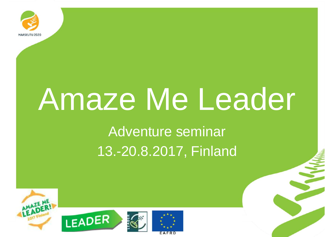

# Amaze Me Leader

Adventure seminar 13.-20.8.2017, Finland

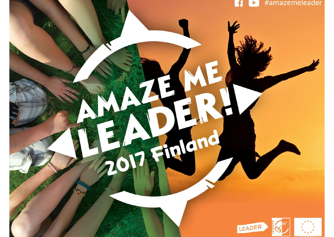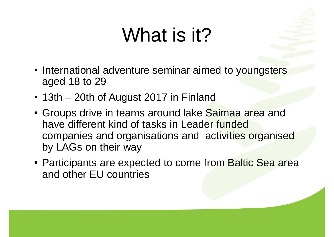#### What is it?

- International adventure seminar aimed to youngsters aged 18 to 29
- 13th 20th of August 2017 in Finland
- Groups drive in teams around lake Saimaa area and have different kind of tasks in Leader funded companies and organisations and activities organised by LAGs on their way
- Participants are expected to come from Baltic Sea area and other EU countries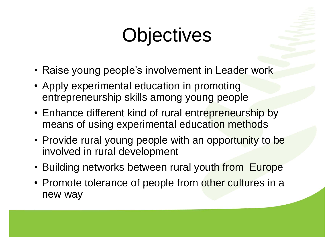# **Objectives**

- Raise young people's involvement in Leader work
- Apply experimental education in promoting entrepreneurship skills among young people
- Enhance different kind of rural entrepreneurship by means of using experimental education methods
- Provide rural young people with an opportunity to be involved in rural development
- Building networks between rural youth from Europe
- Promote tolerance of people from other cultures in a new way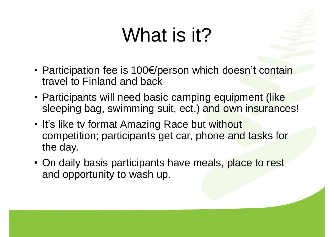### What is it?

- Participation fee is 100 $\varepsilon$ /person which doesn't contain travel to Finland and back
- Participants will need basic camping equipment (like sleeping bag, swimming suit, ect.) and own insurances!
- It's like tv format Amazing Race but without competition; participants get car, phone and tasks for the day.
- On daily basis participants have meals, place to rest and opportunity to wash up.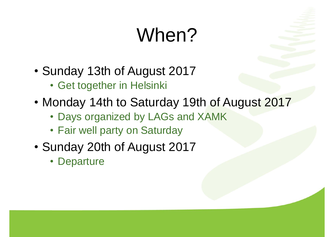# When?

- Sunday 13th of August 2017
	- **Get together in Helsinki**
- Monday 14th to Saturday 19th of August 2017
	- Days organized by LAGs and XAMK
	- Fair well party on Saturday
- Sunday 20th of August 2017
	- Departure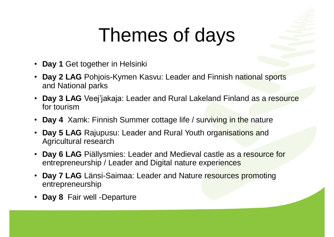### Themes of days

- **Day 1** Get together in Helsinki
- **Day 2 LAG** Pohjois-Kymen Kasvu: Leader and Finnish national sports and National parks
- **Day 3 LAG** Veej'jakaja: Leader and Rural Lakeland Finland as a resource for tourism
- Day 4 Xamk: Finnish Summer cottage life / surviving in the nature
- Day 5 LAG Rajupusu: Leader and Rural Youth organisations and Agricultural research
- Day 6 LAG Piällysmies: Leader and Medieval castle as a resource for entrepreneurship / Leader and Digital nature experiences
- **Day 7 LAG** Länsi-Saimaa: Leader and Nature resources promoting entrepreneurship
- **Day 8** Fair well -Departure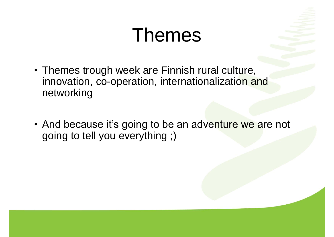#### **Themes**

- Themes trough week are Finnish rural culture, innovation, co-operation, internationalization and networking
- And because it's going to be an adventure we are not going to tell you everything ;)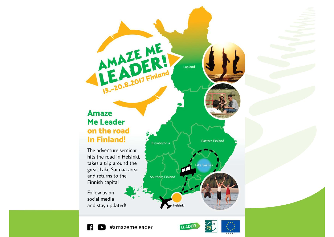#### **Amaze Me Leader** on the road **In Finland!**

AMAZEME,

13.-20.8.2017 Finland

The adventure seminar hits the road in Helsinki, takes a trip around the great Lake Saimaa area and returns to the Finnish capital.

Follow us on social media and stay updated!



Lapland





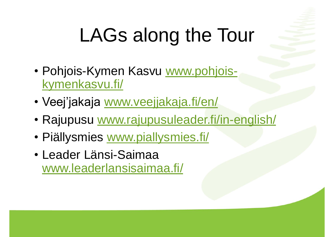# LAGs along the Tour

- Pohjois-Kymen Kasvu www.pohjoiskymenkasvu.fi/
- Veej'jakaja www.veejjakaja.fi/en/
- Rajupusu www.rajupusuleader.fi/in-english/
- Piällysmies www.piallysmies.fi/
- á Leader Länsi-Saimaa www.leaderlansisaimaa.fi/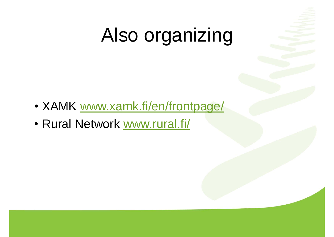#### Also organizing

- XAMK www.xamk.fi/en/frontpage/
- Rural Network www.rural.fi/